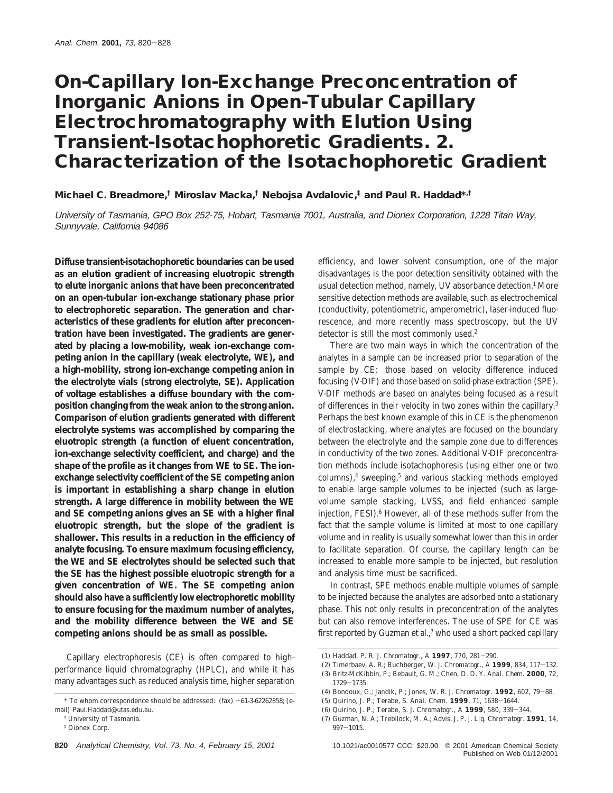# **On-Capillary Ion-Exchange Preconcentration of Inorganic Anions in Open-Tubular Capillary Electrochromatography with Elution Using Transient-Isotachophoretic Gradients. 2. Characterization of the Isotachophoretic Gradient**

**Michael C. Breadmore,† Miroslav Macka,† Nebojsa Avdalovic,‡ and Paul R. Haddad\*,†**

University of Tasmania, GPO Box 252-75, Hobart, Tasmania 7001, Australia, and Dionex Corporation, 1228 Titan Way, Sunnyvale, California 94086

**Diffuse transient-isotachophoretic boundaries can be used as an elution gradient of increasing eluotropic strength to elute inorganic anions that have been preconcentrated on an open-tubular ion-exchange stationary phase prior to electrophoretic separation. The generation and characteristics of these gradients for elution after preconcentration have been investigated. The gradients are generated by placing a low-mobility, weak ion-exchange competing anion in the capillary (weak electrolyte, WE), and a high-mobility, strong ion-exchange competing anion in the electrolyte vials (strong electrolyte, SE). Application of voltage establishes a diffuse boundary with the composition changing from the weak anion to the strong anion. Comparison of elution gradients generated with different electrolyte systems was accomplished by comparing the eluotropic strength (a function of eluent concentration, ion-exchange selectivity coefficient, and charge) and the shape of the profile as it changes from WE to SE. The ionexchange selectivity coefficient of the SE competing anion is important in establishing a sharp change in elution strength. A large difference in mobility between the WE and SE competing anions gives an SE with a higher final eluotropic strength, but the slope of the gradient is shallower. This results in a reduction in the efficiency of analyte focusing. To ensure maximum focusing efficiency, the WE and SE electrolytes should be selected such that the SE has the highest possible eluotropic strength for a given concentration of WE. The SE competing anion should also have a sufficiently low electrophoretic mobility to ensure focusing for the maximum number of analytes, and the mobility difference between the WE and SE competing anions should be as small as possible.**

Capillary electrophoresis (CE) is often compared to highperformance liquid chromatography (HPLC), and while it has many advantages such as reduced analysis time, higher separation

efficiency, and lower solvent consumption, one of the major disadvantages is the poor detection sensitivity obtained with the usual detection method, namely, UV absorbance detection.1 More sensitive detection methods are available, such as electrochemical (conductivity, potentiometric, amperometric), laser-induced fluorescence, and more recently mass spectroscopy, but the UV detector is still the most commonly used.<sup>2</sup>

There are two main ways in which the concentration of the analytes in a sample can be increased prior to separation of the sample by CE: those based on velocity difference induced focusing (V-DIF) and those based on solid-phase extraction (SPE). V-DIF methods are based on analytes being focused as a result of differences in their velocity in two zones within the capillary.3 Perhaps the best known example of this in CE is the phenomenon of electrostacking, where analytes are focused on the boundary between the electrolyte and the sample zone due to differences in conductivity of the two zones. Additional V-DIF preconcentration methods include isotachophoresis (using either one or two columns),<sup>4</sup> sweeping,<sup>5</sup> and various stacking methods employed to enable large sample volumes to be injected (such as largevolume sample stacking, LVSS, and field enhanced sample injection, FESI).6 However, all of these methods suffer from the fact that the sample volume is limited at most to one capillary volume and in reality is usually somewhat lower than this in order to facilitate separation. Of course, the capillary length can be increased to enable more sample to be injected, but resolution and analysis time must be sacrificed.

In contrast, SPE methods enable multiple volumes of sample to be injected because the analytes are adsorbed onto a stationary phase. This not only results in preconcentration of the analytes but can also remove interferences. The use of SPE for CE was first reported by Guzman et al.,7 who used a short packed capillary

 $*$  To whom correspondence should be addressed:  $(fax) + 61-3-62262858$ ; (email) Paul.Haddad@utas.edu.au.

<sup>†</sup> University of Tasmania.

<sup>‡</sup> Dionex Corp.

<sup>(1)</sup> Haddad, P. R. *J. Chromatogr., A* **<sup>1997</sup>**, *<sup>770</sup>*, 281-290.

<sup>(2)</sup> Timerbaev, A. R.; Buchberger, W. *J. Chromatogr., A* **<sup>1999</sup>**, *<sup>834</sup>*, 117-132.

<sup>(3)</sup> Britz-McKibbin, P.; Bebault, G. M.; Chen, D. D. Y. *Anal. Chem.* **2000**, *72*, 1729-1735.<br>Readeux C

<sup>(4)</sup> Bondoux, G.; Jandik, P.; Jones, W. R. *J. Chromatogr.* **<sup>1992</sup>**, *<sup>602</sup>*, 79-88.

<sup>(5)</sup> Quirino, J. P.; Terabe, S. *Anal. Chem.* **<sup>1999</sup>**, *<sup>71</sup>*, 1638-1644.

<sup>(6)</sup> Quirino, J. P.; Terabe, S. *J. Chromatogr., A* **<sup>1999</sup>**, *<sup>580</sup>*, 339-344.

<sup>(7)</sup> Guzman, N. A.; Trebilock, M. A.; Advis, J. P. *J. Liq. Chromatogr.* **1991**, *14*,  $997 - 1015$ .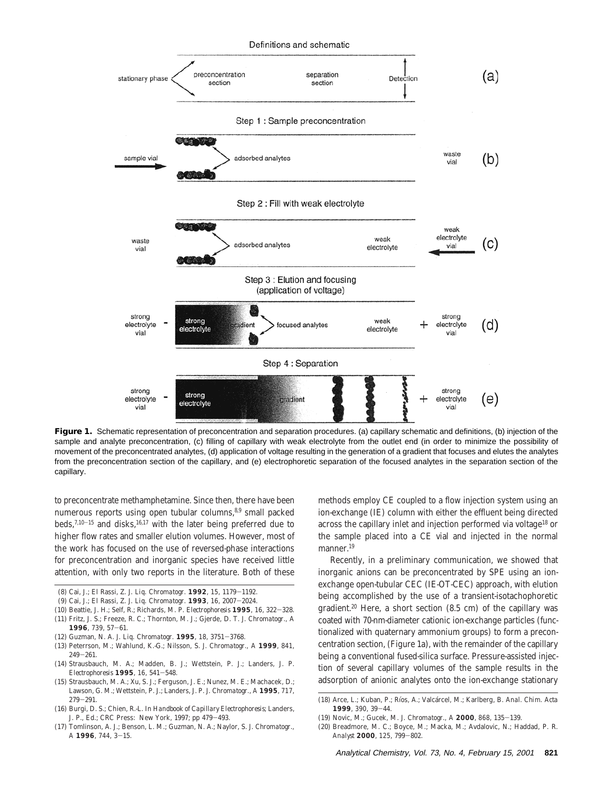

Figure 1. Schematic representation of preconcentration and separation procedures. (a) capillary schematic and definitions, (b) injection of the sample and analyte preconcentration, (c) filling of capillary with weak electrolyte from the outlet end (in order to minimize the possibility of movement of the preconcentrated analytes, (d) application of voltage resulting in the generation of a gradient that focuses and elutes the analytes from the preconcentration section of the capillary, and (e) electrophoretic separation of the focused analytes in the separation section of the capillary.

to preconcentrate methamphetamine. Since then, there have been numerous reports using open tubular columns,<sup>8,9</sup> small packed beds, $7,10-15$  and disks,  $16,17$  with the later being preferred due to higher flow rates and smaller elution volumes. However, most of the work has focused on the use of reversed-phase interactions for preconcentration and inorganic species have received little attention, with only two reports in the literature. Both of these

- (8) Cai, J.; El Rassi, Z. *J. Liq. Chromatogr.* **<sup>1992</sup>**, *<sup>15</sup>*, 1179-1192.
- (9) Cai, J.; El Rassi, Z. *J. Liq. Chromatogr.* **<sup>1993</sup>**, *<sup>16</sup>*, 2007-2024.
- (10) Beattie, J. H.; Self, R.; Richards, M. P. *Electrophoresis* **<sup>1995</sup>**, *<sup>16</sup>*, 322-328.
- (11) Fritz, J. S.; Freeze, R. C.; Thornton, M. J.; Gjerde, D. T. *J. Chromatogr., A* **<sup>1996</sup>**, *<sup>739</sup>*, 57-61.
- (12) Guzman, N. A. *J. Liq. Chromatogr.* **<sup>1995</sup>**, *<sup>18</sup>*, 3751-3768.
- (13) Peterrson, M.; Wahlund, K.-G.; Nilsson, S. *J. Chromatogr., A* **1999**, *841*,  $249 - 261.$
- (14) Strausbauch, M. A.; Madden, B. J.; Wettstein, P. J.; Landers, J. P. *Electrophoresis* **<sup>1995</sup>**, *<sup>16</sup>*, 541-548.
- (15) Strausbauch, M. A.; Xu, S. J.; Ferguson, J. E.; Nunez, M. E.; Machacek, D.; Lawson, G. M.; Wettstein, P. J.; Landers, J. P. *J. Chromatogr., A* **1995**, *717*, <sup>279</sup>-291.
- (16) Burgi, D. S.; Chien, R.-L. In *Handbook of Capillary Electrophoresis*; Landers, J. P., Ed.; CRC Press: New York, 1997; pp 479-493.
- (17) Tomlinson, A. J.; Benson, L. M.; Guzman, N. A.; Naylor, S. *J. Chromatogr., <sup>A</sup>* **<sup>1996</sup>**, *<sup>744</sup>*, 3-15.

methods employ CE coupled to a flow injection system using an ion-exchange (IE) column with either the effluent being directed across the capillary inlet and injection performed via voltage18 or the sample placed into a CE vial and injected in the normal manner<sup>19</sup>

Recently, in a preliminary communication, we showed that inorganic anions can be preconcentrated by SPE using an ionexchange open-tubular CEC (IE-OT-CEC) approach, with elution being accomplished by the use of a transient-isotachophoretic gradient.20 Here, a short section (8.5 cm) of the capillary was coated with 70-nm-diameter cationic ion-exchange particles (functionalized with quaternary ammonium groups) to form a preconcentration section, (Figure 1a), with the remainder of the capillary being a conventional fused-silica surface. Pressure-assisted injection of several capillary volumes of the sample results in the adsorption of anionic analytes onto the ion-exchange stationary

- (19) Novic, M.; Gucek, M. *J. Chromatogr., A* **<sup>2000</sup>**, *<sup>868</sup>*, 135-139.
- (20) Breadmore, M. C.; Boyce, M.; Macka, M.; Avdalovic, N.; Haddad, P. R. *Analyst* **<sup>2000</sup>**, *<sup>125</sup>*, 799-802.

<sup>(18)</sup> Arce, L.; Kuban, P.; Rı´os, A.; Valca´rcel, M.; Karlberg, B. *Anal. Chim. Acta* **<sup>1999</sup>**, *<sup>390</sup>*, 39-44.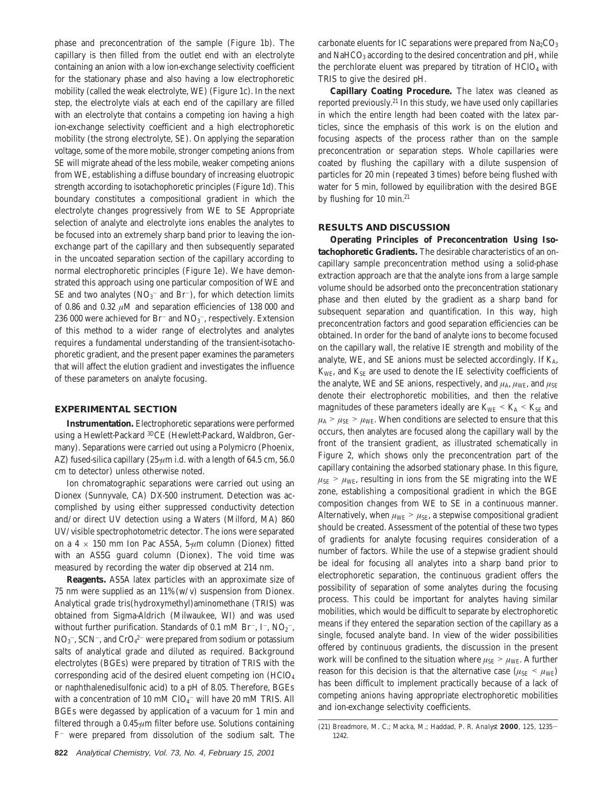phase and preconcentration of the sample (Figure 1b). The capillary is then filled from the outlet end with an electrolyte containing an anion with a low ion-exchange selectivity coefficient for the stationary phase and also having a low electrophoretic mobility (called the weak electrolyte, WE) (Figure 1c). In the next step, the electrolyte vials at each end of the capillary are filled with an electrolyte that contains a competing ion having a high ion-exchange selectivity coefficient and a high electrophoretic mobility (the strong electrolyte, SE). On applying the separation voltage, some of the more mobile, stronger competing anions from SE will migrate ahead of the less mobile, weaker competing anions from WE, establishing a diffuse boundary of increasing eluotropic strength according to isotachophoretic principles (Figure 1d). This boundary constitutes a compositional gradient in which the electrolyte changes progressively from WE to SE Appropriate selection of analyte and electrolyte ions enables the analytes to be focused into an extremely sharp band prior to leaving the ionexchange part of the capillary and then subsequently separated in the uncoated separation section of the capillary according to normal electrophoretic principles (Figure 1e). We have demonstrated this approach using one particular composition of WE and SE and two analytes  $(NO<sub>3</sub><sup>-</sup>$  and Br<sup>-</sup>), for which detection limits of 0.86 and 0.32 *µ*M and separation efficiencies of 138 000 and 236 000 were achieved for Br<sup>–</sup> and NO<sub>3</sub><sup>–</sup>, respectively. Extension of this method to a wider range of electrolytes and analytes requires a fundamental understanding of the transient-isotachophoretic gradient, and the present paper examines the parameters that will affect the elution gradient and investigates the influence of these parameters on analyte focusing.

## **EXPERIMENTAL SECTION**

**Instrumentation.** Electrophoretic separations were performed using a Hewlett-Packard 3DCE (Hewlett-Packard, Waldbron, Germany). Separations were carried out using a Polymicro (Phoenix, AZ) fused-silica capillary (25-*µ*m i.d. with a length of 64.5 cm, 56.0 cm to detector) unless otherwise noted.

Ion chromatographic separations were carried out using an Dionex (Sunnyvale, CA) DX-500 instrument. Detection was accomplished by using either suppressed conductivity detection and/or direct UV detection using a Waters (Milford, MA) 860 UV/visible spectrophotometric detector. The ions were separated on a 4 × 150 mm Ion Pac AS5A, 5-*µ*m column (Dionex) fitted with an AS5G guard column (Dionex). The void time was measured by recording the water dip observed at 214 nm.

**Reagents.** AS5A latex particles with an approximate size of 75 nm were supplied as an  $11\%$  (w/v) suspension from Dionex. Analytical grade tris(hydroxymethyl)aminomethane (TRIS) was obtained from Sigma-Aldrich (Milwaukee, WI) and was used without further purification. Standards of 0.1 mM Br<sup>-</sup>, I<sup>-</sup>, NO<sub>2</sub><sup>-</sup>,  $\rm NO_3^-$ , SCN<sup>-</sup>, and CrO $_4^{2-}$  were prepared from sodium or potassium salts of analytical grade and diluted as required. Background electrolytes (BGEs) were prepared by titration of TRIS with the corresponding acid of the desired eluent competing ion (HClO4 or naphthalenedisulfonic acid) to a pH of 8.05. Therefore, BGEs with a concentration of 10 mM  $ClO_4^-$  will have 20 mM TRIS. All BGEs were degassed by application of a vacuum for 1 min and filtered through a 0.45-*µ*m filter before use. Solutions containing  $F^-$  were prepared from dissolution of the sodium salt. The

**822** Analytical Chemistry, Vol. 73, No. 4, February 15, 2001

carbonate eluents for IC separations were prepared from  $\text{Na}_2\text{CO}_3$ and NaHCO<sub>3</sub> according to the desired concentration and pH, while the perchlorate eluent was prepared by titration of  $HClO<sub>4</sub>$  with TRIS to give the desired pH.

**Capillary Coating Procedure.** The latex was cleaned as reported previously.21 In this study, we have used only capillaries in which the entire length had been coated with the latex particles, since the emphasis of this work is on the elution and focusing aspects of the process rather than on the sample preconcentration or separation steps. Whole capillaries were coated by flushing the capillary with a dilute suspension of particles for 20 min (repeated 3 times) before being flushed with water for 5 min, followed by equilibration with the desired BGE by flushing for 10 min.21

## **RESULTS AND DISCUSSION**

**Operating Principles of Preconcentration Using Isotachophoretic Gradients.** The desirable characteristics of an oncapillary sample preconcentration method using a solid-phase extraction approach are that the analyte ions from a large sample volume should be adsorbed onto the preconcentration stationary phase and then eluted by the gradient as a sharp band for subsequent separation and quantification. In this way, high preconcentration factors and good separation efficiencies can be obtained. In order for the band of analyte ions to become focused on the capillary wall, the relative IE strength and mobility of the analyte, WE, and SE anions must be selected accordingly. If  $K_A$ , *K*WE, and *K*SE are used to denote the IE selectivity coefficients of the analyte, WE and SE anions, respectively, and  $\mu_A$ ,  $\mu_{WE}$ , and  $\mu_{SE}$ denote their electrophoretic mobilities, and then the relative magnitudes of these parameters ideally are  $K_{WE} < K_A < K_{SE}$  and  $\mu_A > \mu_{SE} > \mu_{WE}$ . When conditions are selected to ensure that this occurs, then analytes are focused along the capillary wall by the front of the transient gradient, as illustrated schematically in Figure 2, which shows only the preconcentration part of the capillary containing the adsorbed stationary phase. In this figure,  $\mu_{\text{SE}}$  >  $\mu_{\text{WE}}$ , resulting in ions from the SE migrating into the WE zone, establishing a compositional gradient in which the BGE composition changes from WE to SE in a continuous manner. Alternatively, when  $\mu_{WE} > \mu_{SE}$ , a stepwise compositional gradient should be created. Assessment of the potential of these two types of gradients for analyte focusing requires consideration of a number of factors. While the use of a stepwise gradient should be ideal for focusing all analytes into a sharp band prior to electrophoretic separation, the continuous gradient offers the possibility of separation of some analytes during the focusing process. This could be important for analytes having similar mobilities, which would be difficult to separate by electrophoretic means if they entered the separation section of the capillary as a single, focused analyte band. In view of the wider possibilities offered by continuous gradients, the discussion in the present work will be confined to the situation where  $\mu_{SE} > \mu_{WE}$ . A further reason for this decision is that the alternative case ( $\mu_{SE}$  <  $\mu_{WE}$ ) has been difficult to implement practically because of a lack of competing anions having appropriate electrophoretic mobilities and ion-exchange selectivity coefficients.

<sup>(21)</sup> Breadmore, M. C.; Macka, M.; Haddad, P. R. *Analyst* **<sup>2000</sup>**, *<sup>125</sup>*, 1235- 1242.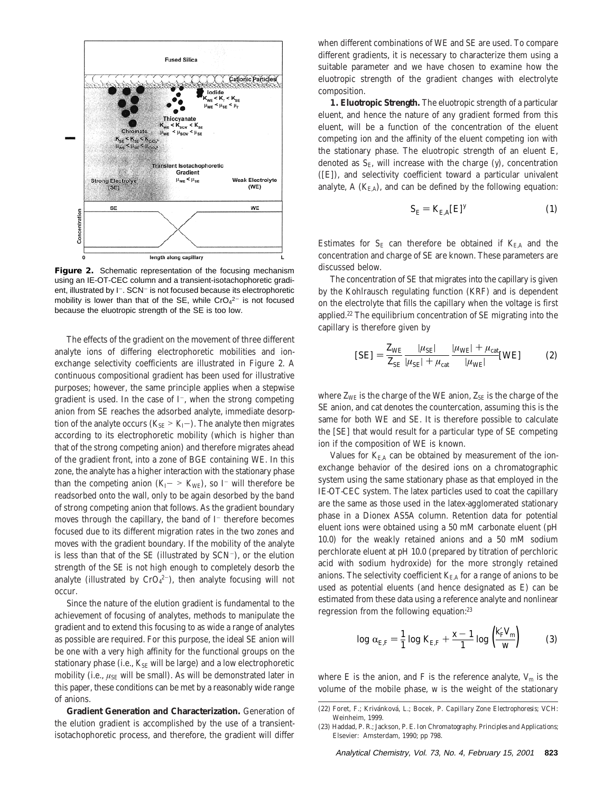

Figure 2. Schematic representation of the focusing mechanism using an IE-OT-CEC column and a transient-isotachophoretic gradient, illustrated by I<sup>-</sup>. SCN<sup>-</sup> is not focused because its electrophoretic mobility is lower than that of the SE, while  $CrO<sub>4</sub><sup>2–</sup>$  is not focused because the eluotropic strength of the SE is too low.

The effects of the gradient on the movement of three different analyte ions of differing electrophoretic mobilities and ionexchange selectivity coefficients are illustrated in Figure 2. A continuous compositional gradient has been used for illustrative purposes; however, the same principle applies when a stepwise gradient is used. In the case of  $I^-$ , when the strong competing anion from SE reaches the adsorbed analyte, immediate desorption of the analyte occurs  $(K_{SE} > K_I-)$ . The analyte then migrates according to its electrophoretic mobility (which is higher than that of the strong competing anion) and therefore migrates ahead of the gradient front, into a zone of BGE containing WE. In this zone, the analyte has a higher interaction with the stationary phase than the competing anion  $(K_I - > K_{WE})$ , so I<sup>-</sup> will therefore be readsorbed onto the wall, only to be again desorbed by the band of strong competing anion that follows. As the gradient boundary moves through the capillary, the band of  $I^-$  therefore becomes focused due to its different migration rates in the two zones and moves with the gradient boundary. If the mobility of the analyte is less than that of the SE (illustrated by SCN-), or the elution strength of the SE is not high enough to completely desorb the analyte (illustrated by  $CrO<sub>4</sub><sup>2–</sup>$ ), then analyte focusing will not occur.

Since the nature of the elution gradient is fundamental to the achievement of focusing of analytes, methods to manipulate the gradient and to extend this focusing to as wide a range of analytes as possible are required. For this purpose, the ideal SE anion will be one with a very high affinity for the functional groups on the stationary phase (i.e.,  $K_{SE}$  will be large) and a low electrophoretic mobility (i.e.,  $\mu_{\text{SE}}$  will be small). As will be demonstrated later in this paper, these conditions can be met by a reasonably wide range of anions.

**Gradient Generation and Characterization.** Generation of the elution gradient is accomplished by the use of a transientisotachophoretic process, and therefore, the gradient will differ when different combinations of WE and SE are used. To compare different gradients, it is necessary to characterize them using a suitable parameter and we have chosen to examine how the eluotropic strength of the gradient changes with electrolyte composition.

**1. Eluotropic Strength.** The eluotropic strength of a particular eluent, and hence the nature of any gradient formed from this eluent, will be a function of the concentration of the eluent competing ion and the affinity of the eluent competing ion with the stationary phase. The eluotropic strength of an eluent E, denoted as  $S_{\text{E}}$ , will increase with the charge  $(y)$ , concentration ([E]), and selectivity coefficient toward a particular univalent analyte,  $A(K_{E,A})$ , and can be defined by the following equation:

$$
S_{\rm E} = K_{\rm E,A}[E]^y \tag{1}
$$

Estimates for  $S_E$  can therefore be obtained if  $K_{E,A}$  and the concentration and charge of SE are known. These parameters are discussed below.

The concentration of SE that migrates into the capillary is given by the Kohlrausch regulating function (KRF) and is dependent on the electrolyte that fills the capillary when the voltage is first applied.22 The equilibrium concentration of SE migrating into the capillary is therefore given by

$$
[SE] = \frac{Z_{WE}}{Z_{SE}} \frac{|\mu_{SE}|}{|\mu_{SE}| + \mu_{cat}} \frac{|\mu_{WE}| + \mu_{cat}}{|\mu_{WE}|} [WE]
$$
(2)

where  $Z_{\text{WE}}$  is the charge of the WE anion,  $Z_{\text{SE}}$  is the charge of the SE anion, and cat denotes the countercation, assuming this is the same for both WE and SE. It is therefore possible to calculate the [SE] that would result for a particular type of SE competing ion if the composition of WE is known.

Values for  $K_{\text{EA}}$  can be obtained by measurement of the ionexchange behavior of the desired ions on a chromatographic system using the same stationary phase as that employed in the IE-OT-CEC system. The latex particles used to coat the capillary are the same as those used in the latex-agglomerated stationary phase in a Dionex AS5A column. Retention data for potential eluent ions were obtained using a 50 mM carbonate eluent (pH 10.0) for the weakly retained anions and a 50 mM sodium perchlorate eluent at pH 10.0 (prepared by titration of perchloric acid with sodium hydroxide) for the more strongly retained anions. The selectivity coefficient  $K_{EA}$  for a range of anions to be used as potential eluents (and hence designated as E) can be estimated from these data using a reference analyte and nonlinear regression from the following equation:23

$$
\log \alpha_{E,F} = \frac{1}{1} \log K_{E,F} + \frac{x - 1}{1} \log \left( \frac{K_F V_m}{w} \right) \tag{3}
$$

where E is the anion, and F is the reference analyte,  $V_m$  is the volume of the mobile phase, *w* is the weight of the stationary

<sup>(22)</sup> Foret, F.; Kriva´nkova´, L.; Bocek, P. *Capillary Zone Electrophoresis*; VCH: Weinheim, 1999.

<sup>(23)</sup> Haddad, P. R.; Jackson, P. E. *Ion Chromatography. Principles and Applications*; Elsevier: Amsterdam, 1990; pp 798.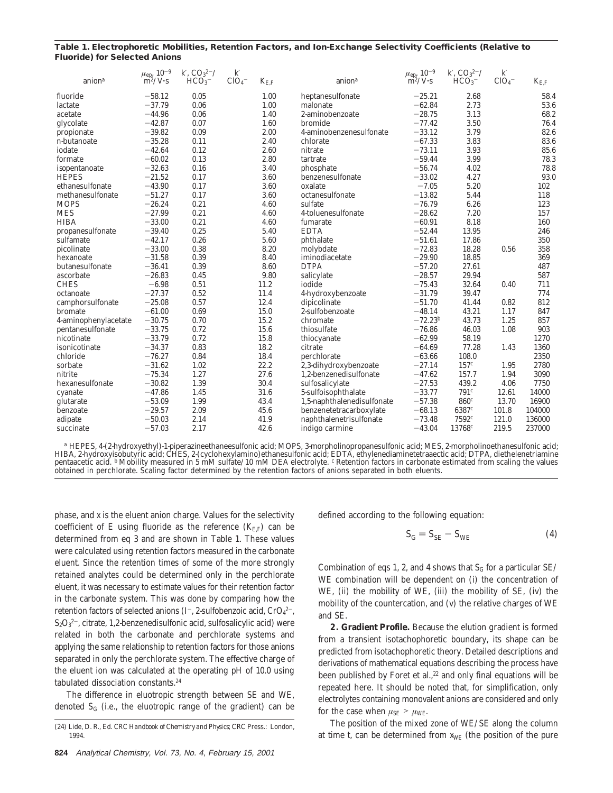### **Table 1. Electrophoretic Mobilities, Retention Factors, and Ion-Exchange Selectivity Coefficients (Relative to Fluoride) for Selected Anions**

| anion <sup>a</sup>   | $\mu_{\rm ep}$ $10^{-9}$<br>$\text{m}^2/\text{V}\cdot\text{s}$ | K, CO <sub>3</sub> <sup>2–</sup><br>HCO <sub>3</sub> | K<br>ClO <sub>4</sub> | $K_{\rm E.F}$ | anion $a$                  | $\mu_{\rm{ep}},\,10^{-9}$<br>$\rm m^2/V\text{-}s$ | K, CO <sub>3</sub> <sup>2–</sup><br>HCO <sub>3</sub> | K<br>ClO <sub>4</sub> | $K_{\rm E.F}$ |
|----------------------|----------------------------------------------------------------|------------------------------------------------------|-----------------------|---------------|----------------------------|---------------------------------------------------|------------------------------------------------------|-----------------------|---------------|
| fluoride             | $-58.12$                                                       | 0.05                                                 |                       | 1.00          | heptanesulfonate           | $-25.21$                                          | 2.68                                                 |                       | 58.4          |
| lactate              | $-37.79$                                                       | 0.06                                                 |                       | 1.00          | malonate                   | $-62.84$                                          | 2.73                                                 |                       | 53.6          |
| acetate              | $-44.96$                                                       | 0.06                                                 |                       | 1.40          | 2-aminobenzoate            | $-28.75$                                          | 3.13                                                 |                       | 68.2          |
| glycolate            | $-42.87$                                                       | 0.07                                                 |                       | 1.60          | bromide                    | $-77.42$                                          | 3.50                                                 |                       | 76.4          |
| propionate           | $-39.82$                                                       | 0.09                                                 |                       | 2.00          | 4-aminobenzenesulfonate    | $-33.12$                                          | 3.79                                                 |                       | 82.6          |
| $n$ -butanoate       | $-35.28$                                                       | 0.11                                                 |                       | 2.40          | chlorate                   | $-67.33$                                          | 3.83                                                 |                       | 83.6          |
| iodate               | $-42.64$                                                       | 0.12                                                 |                       | 2.60          | nitrate                    | $-73.11$                                          | 3.93                                                 |                       | 85.6          |
| formate              | $-60.02$                                                       | 0.13                                                 |                       | 2.80          | tartrate                   | $-59.44$                                          | 3.99                                                 |                       | 78.3          |
| isopentanoate        | $-32.63$                                                       | 0.16                                                 |                       | 3.40          | phosphate                  | $-56.74$                                          | 4.02                                                 |                       | 78.8          |
| <b>HEPES</b>         | $-21.52$                                                       | 0.17                                                 |                       | 3.60          | benzenesulfonate           | $-33.02$                                          | 4.27                                                 |                       | 93.0          |
| ethanesulfonate      | $-43.90$                                                       | 0.17                                                 |                       | 3.60          | oxalate                    | $-7.05$                                           | 5.20                                                 |                       | 102           |
| methanesulfonate     | $-51.27$                                                       | 0.17                                                 |                       | 3.60          | octanesulfonate            | $-13.82$                                          | 5.44                                                 |                       | 118           |
| <b>MOPS</b>          | $-26.24$                                                       | 0.21                                                 |                       | 4.60          | sulfate                    | $-76.79$                                          | 6.26                                                 |                       | 123           |
| <b>MES</b>           | $-27.99$                                                       | 0.21                                                 |                       | 4.60          | 4-toluenesulfonate         | $-28.62$                                          | 7.20                                                 |                       | 157           |
| <b>HIBA</b>          | $-33.00$                                                       | 0.21                                                 |                       | 4.60          | fumarate                   | $-60.91$                                          | 8.18                                                 |                       | 160           |
| propanesulfonate     | $-39.40$                                                       | 0.25                                                 |                       | 5.40          | <b>EDTA</b>                | $-52.44$                                          | 13.95                                                |                       | 246           |
| sulfamate            | $-42.17$                                                       | 0.26                                                 |                       | 5.60          | phthalate                  | $-51.61$                                          | 17.86                                                |                       | 350           |
| picolinate           | $-33.00$                                                       | 0.38                                                 |                       | 8.20          | molybdate                  | $-72.83$                                          | 18.28                                                | 0.56                  | 358           |
| hexanoate            | $-31.58$                                                       | 0.39                                                 |                       | 8.40          | iminodiacetate             | $-29.90$                                          | 18.85                                                |                       | 369           |
| butanesulfonate      | $-36.41$                                                       | 0.39                                                 |                       | 8.60          | <b>DTPA</b>                | $-57.20$                                          | 27.61                                                |                       | 487           |
| ascorbate            | $-26.83$                                                       | 0.45                                                 |                       | 9.80          | salicylate                 | $-28.57$                                          | 29.94                                                |                       | 587           |
| <b>CHES</b>          | $-6.98$                                                        | 0.51                                                 |                       | 11.2          | iodide                     | $-75.43$                                          | 32.64                                                | 0.40                  | 711           |
| octanoate            | $-27.37$                                                       | 0.52                                                 |                       | 11.4          | 4-hydroxybenzoate          | $-31.79$                                          | 39.47                                                |                       | 774           |
| camphorsulfonate     | $-25.08$                                                       | 0.57                                                 |                       | 12.4          | dipicolinate               | $-51.70$                                          | 41.44                                                | 0.82                  | 812           |
| bromate              | $-61.00$                                                       | 0.69                                                 |                       | 15.0          | 2-sulfobenzoate            | $-48.14$                                          | 43.21                                                | 1.17                  | 847           |
| 4-aminophenylacetate | $-30.75$                                                       | 0.70                                                 |                       | 15.2          | chromate                   | $-72.23b$                                         | 43.73                                                | 1.25                  | 857           |
| pentanesulfonate     | $-33.75$                                                       | 0.72                                                 |                       | 15.6          | thiosulfate                | $-76.86$                                          | 46.03                                                | 1.08                  | 903           |
| nicotinate           | $-33.79$                                                       | 0.72                                                 |                       | 15.8          | thiocyanate                | $-62.99$                                          | 58.19                                                |                       | 1270          |
| isonicotinate        | $-34.37$                                                       | 0.83                                                 |                       | 18.2          | citrate                    | $-64.69$                                          | 77.28                                                | 1.43                  | 1360          |
| chloride             | $-76.27$                                                       | 0.84                                                 |                       | 18.4          | perchlorate                | $-63.66$                                          | 108.0                                                |                       | 2350          |
| sorbate              | $-31.62$                                                       | 1.02                                                 |                       | 22.2          | 2,3-dihydroxybenzoate      | $-27.14$                                          | 157c                                                 | 1.95                  | 2780          |
| nitrite              | $-75.34$                                                       | 1.27                                                 |                       | 27.6          | 1,2-benzenedisulfonate     | $-47.62$                                          | 157.7                                                | 1.94                  | 3090          |
| hexanesulfonate      | $-30.82$                                                       | 1.39                                                 |                       | 30.4          | sulfosalicylate            | $-27.53$                                          | 439.2                                                | 4.06                  | 7750          |
| cyanate              | $-47.86$                                                       | 1.45                                                 |                       | 31.6          | 5-sulfoisophthalate        | $-33.77$                                          | 791c                                                 | 12.61                 | 14000         |
| glutarate            | $-53.09$                                                       | 1.99                                                 |                       | 43.4          | 1,5-naphthalenedisulfonate | $-57.38$                                          | 860c                                                 | 13.70                 | 16900         |
| benzoate             | $-29.57$                                                       | 2.09                                                 |                       | 45.6          | benzenetetracarboxylate    | $-68.13$                                          | 6387c                                                | 101.8                 | 104000        |
| adipate              | $-50.03$                                                       | 2.14                                                 |                       | 41.9          | naphthalenetrisulfonate    | $-73.48$                                          | 7592c                                                | 121.0                 | 136000        |
| succinate            | $-57.03$                                                       | 2.17                                                 |                       | 42.6          | indigo carmine             | $-43.04$                                          | 13768c                                               | 219.5                 | 237000        |

*<sup>a</sup>* HEPES, 4-(2-hydroxyethyl)-1-piperazineethaneesulfonic acid; MOPS, 3-morpholinopropanesulfonic acid; MES, 2-morpholinoethanesulfonic acid; HIBA, 2-hydroxyisobutyric acid; CHES, 2-(cyclohexylamino)ethanesulfonic acid; EDTA, ethylenediaminetetraaectic acid; DTPA, diethelenetriamine pentaacetic acid. *<sup>b</sup>* Mobility measured in 5 mM sulfate/10 mM DEA electrolyte. *<sup>c</sup>* Retention factors in carbonate estimated from scaling the values obtained in perchlorate. Scaling factor determined by the retention factors of anions separated in both eluents.

phase, and *x* is the eluent anion charge. Values for the selectivity coefficient of E using fluoride as the reference  $(K_{E,F})$  can be determined from eq 3 and are shown in Table 1. These values were calculated using retention factors measured in the carbonate eluent. Since the retention times of some of the more strongly retained analytes could be determined only in the perchlorate eluent, it was necessary to estimate values for their retention factor in the carbonate system. This was done by comparing how the retention factors of selected anions (I<sup>-</sup>, 2-sulfobenzoic acid, CrO $_4^{2-}$ ,  $\mathrm{S}_2\mathrm{O}_3{}^{2-}$ , citrate, 1,2-benzenedisulfonic acid, sulfosalicylic acid) were related in both the carbonate and perchlorate systems and applying the same relationship to retention factors for those anions separated in only the perchlorate system. The effective charge of the eluent ion was calculated at the operating pH of 10.0 using tabulated dissociation constants.24

The difference in eluotropic strength between SE and WE, denoted  $S_G$  (i.e., the eluotropic range of the gradient) can be defined according to the following equation:

$$
S_{\rm G} = S_{\rm SE} - S_{\rm WE} \tag{4}
$$

Combination of eqs 1, 2, and 4 shows that  $S_G$  for a particular SE/ WE combination will be dependent on (i) the concentration of WE, (ii) the mobility of WE, (iii) the mobility of SE, (iv) the mobility of the countercation, and (v) the relative charges of WE and SE.

**2. Gradient Profile.** Because the elution gradient is formed from a transient isotachophoretic boundary, its shape can be predicted from isotachophoretic theory. Detailed descriptions and derivations of mathematical equations describing the process have been published by Foret et al.,<sup>22</sup> and only final equations will be repeated here. It should be noted that, for simplification, only electrolytes containing monovalent anions are considered and only for the case when  $\mu_{SE} > \mu_{WE}$ .

The position of the mixed zone of WE/SE along the column at time  $t$ , can be determined from  $x_{WE}$  (the position of the pure

<sup>(24)</sup> Lide, D. R., Ed. *CRC Handbook of Chemistry and Physics*; CRC Press.: London, 1994.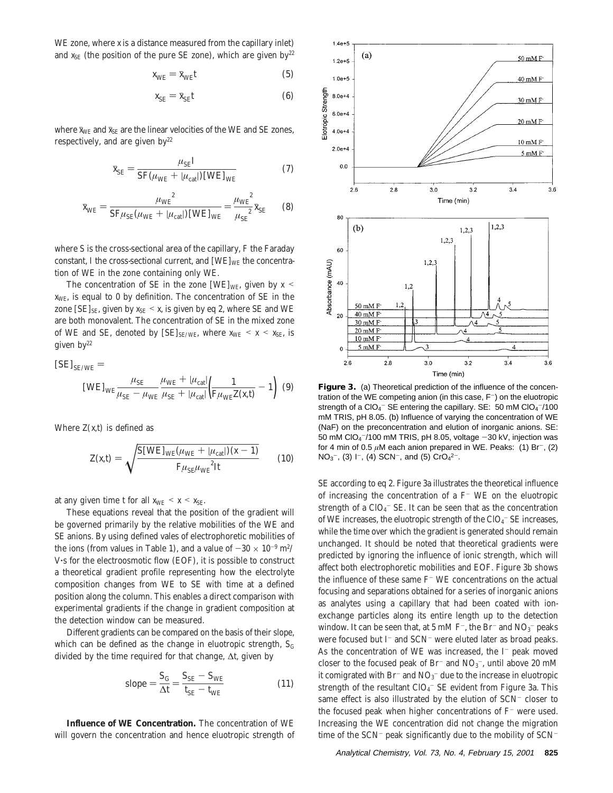WE zone, where *x* is a distance measured from the capillary inlet) and  $x_{SE}$  (the position of the pure SE zone), which are given by<sup>22</sup>

$$
x_{\text{WE}} = \bar{x}_{\text{WE}} t \tag{5}
$$

$$
x_{\rm SE} = \bar{x}_{\rm SE} t \tag{6}
$$

where  $\bar{x}_{WE}$  and  $\bar{x}_{SE}$  are the linear velocities of the WE and SE zones, respectively, and are given  $by<sup>22</sup>$ 

$$
\bar{x}_{\rm SE} = \frac{\mu_{\rm SE} I}{SF(\mu_{\rm WE} + |\mu_{\rm cat}|) \,\text{[WE]}_{\rm WE}}\tag{7}
$$

$$
\bar{x}_{WE} = \frac{\mu_{WE}^2}{SF\mu_{SE}(\mu_{WE} + |\mu_{cat}|) \text{[WE]}_{WE}} = \frac{\mu_{WE}^2}{\mu_{SE}^2} \bar{x}_{SE}
$$
(8)

where *S* is the cross-sectional area of the capillary, *F* the Faraday constant, *I* the cross-sectional current, and  $[WE]_{WE}$  the concentration of WE in the zone containing only WE.

The concentration of SE in the zone [WE]<sub>WE</sub>, given by  $x \leq$ *x*WE, is equal to 0 by definition. The concentration of SE in the zone  $[SE]_{SE}$ , given by  $x_{SE} < x$ , is given by eq 2, where SE and WE are both monovalent. The concentration of SE in the mixed zone of WE and SE, denoted by  $[SE]_{SE/WE}$ , where  $x_{WE} < x < x_{SE}$ , is given  $by<sup>22</sup>$ 

$$
[SE]_{SE/WE} =
$$
  
\n
$$
[WE]_{WE} \frac{\mu_{SE}}{\mu_{SE} - \mu_{WE}} \frac{\mu_{WE} + |\mu_{cat}|}{\mu_{SE} + |\mu_{cat}|} \left(\frac{1}{F\mu_{WE}Z(x,t)} - 1\right) (9)
$$

Where  $Z(x,t)$  is defined as

$$
Z(x,t) = \sqrt{\frac{S[WE]_{WE}(\mu_{WE} + |\mu_{cat}|)(x-1)}{F\mu_{SE}\mu_{WE}^2It}} \qquad (10)
$$

at any given time *t* for all  $x_{WE} < x < x_{SE}$ .

These equations reveal that the position of the gradient will be governed primarily by the relative mobilities of the WE and SE anions. By using defined vales of electrophoretic mobilities of the ions (from values in Table 1), and a value of  $-30 \times 10^{-9}$  m<sup>2</sup>/ <sup>V</sup>'s for the electroosmotic flow (EOF), it is possible to construct a theoretical gradient profile representing how the electrolyte composition changes from WE to SE with time at a defined position along the column. This enables a direct comparison with experimental gradients if the change in gradient composition at the detection window can be measured.

Different gradients can be compared on the basis of their slope, which can be defined as the change in eluotropic strength,  $S_G$ divided by the time required for that change, ∆*t*, given by

slope 
$$
=\frac{S_{\text{G}}}{\Delta t} = \frac{S_{\text{SE}} - S_{\text{WE}}}{t_{\text{SE}} - t_{\text{WE}}}
$$
 (11)

**Influence of WE Concentration.** The concentration of WE will govern the concentration and hence eluotropic strength of



**Figure 3.** (a) Theoretical prediction of the influence of the concentration of the WE competing anion (in this case,  $F^-$ ) on the eluotropic strength of a ClO<sub>4</sub><sup>-</sup> SE entering the capillary. SE: 50 mM ClO<sub>4</sub><sup>-</sup>/100 mM TRIS, pH 8.05. (b) Influence of varying the concentration of WE (NaF) on the preconcentration and elution of inorganic anions. SE: 50 mM ClO4 -/100 mM TRIS, pH 8.05, voltage -30 kV, injection was for 4 min of 0.5  $\mu$ M each anion prepared in WE. Peaks: (1) Br<sup>-</sup>, (2)  $NO_3^-$ , (3) I<sup>-</sup>, (4) SCN<sup>-</sup>, and (5) CrO<sub>4</sub><sup>2-</sup>.

SE according to eq 2. Figure 3a illustrates the theoretical influence of increasing the concentration of a  $F^-$  WE on the eluotropic strength of a ClO<sub>4</sub>  $\sim$  SE. It can be seen that as the concentration of WE increases, the eluotropic strength of the  $ClO<sub>4</sub><sup>-</sup> SE$  increases, while the time over which the gradient is generated should remain unchanged. It should be noted that theoretical gradients were predicted by ignoring the influence of ionic strength, which will affect both electrophoretic mobilities and EOF. Figure 3b shows the influence of these same  $F^-$  WE concentrations on the actual focusing and separations obtained for a series of inorganic anions as analytes using a capillary that had been coated with ionexchange particles along its entire length up to the detection window. It can be seen that, at 5 mM F<sup>-</sup>, the Br<sup>-</sup> and NO<sub>3</sub><sup>-</sup> peaks were focused but I<sup>-</sup> and SCN<sup>-</sup> were eluted later as broad peaks. As the concentration of WE was increased, the  $I^-$  peak moved closer to the focused peak of Br<sup>-</sup> and  $NO<sub>3</sub>$ <sup>-</sup>, until above 20 mM it comigrated with  $\rm Br^-$  and  $\rm NO_3^-$  due to the increase in eluotropic strength of the resultant ClO $_4^-$  SE evident from Figure 3a. This same effect is also illustrated by the elution of SCN<sup>-</sup> closer to the focused peak when higher concentrations of  $F^-$  were used. Increasing the WE concentration did not change the migration time of the  $SCN^-$  peak significantly due to the mobility of  $SCN^-$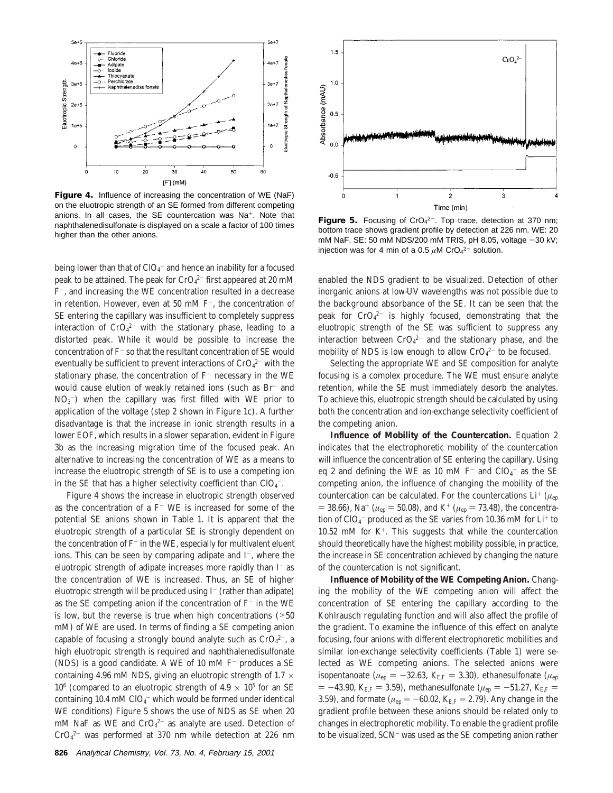

**Figure 4.** Influence of increasing the concentration of WE (NaF) on the eluotropic strength of an SE formed from different competing anions. In all cases, the SE countercation was Na<sup>+</sup>. Note that naphthalenedisulfonate is displayed on a scale a factor of 100 times higher than the other anions.

being lower than that of  $\text{ClO}_4^-$  and hence an inability for a focused peak to be attained. The peak for CrO $_4^{2-}$  first appeared at 20 mM F-, and increasing the WE concentration resulted in a decrease in retention. However, even at 50 mM F-, the concentration of SE entering the capillary was insufficient to completely suppress interaction of  $CrO<sub>4</sub><sup>2-</sup>$  with the stationary phase, leading to a distorted peak. While it would be possible to increase the concentration of F<sup>-</sup> so that the resultant concentration of SE would eventually be sufficient to prevent interactions of  $CrO<sub>4</sub><sup>2-</sup>$  with the stationary phase, the concentration of  $F^-$  necessary in the WE would cause elution of weakly retained ions (such as Br<sup>-</sup> and  $NO<sub>3</sub><sup>-</sup>)$  when the capillary was first filled with WE prior to application of the voltage (step 2 shown in Figure 1c). A further disadvantage is that the increase in ionic strength results in a lower EOF, which results in a slower separation, evident in Figure 3b as the increasing migration time of the focused peak. An alternative to increasing the concentration of WE as a means to increase the eluotropic strength of SE is to use a competing ion in the SE that has a higher selectivity coefficient than  $\text{ClO}_4$  .

Figure 4 shows the increase in eluotropic strength observed as the concentration of a  $F^-$  WE is increased for some of the potential SE anions shown in Table 1. It is apparent that the eluotropic strength of a particular SE is strongly dependent on the concentration of  $F^-$  in the WE, especially for multivalent eluent ions. This can be seen by comparing adipate and I<sup>-</sup>, where the eluotropic strength of adipate increases more rapidly than  $I^-$  as the concentration of WE is increased. Thus, an SE of higher eluotropic strength will be produced using  $I^-$  (rather than adipate) as the SE competing anion if the concentration of  $F^-$  in the WE is low, but the reverse is true when high concentrations  $($ >50 mM) of WE are used. In terms of finding a SE competing anion capable of focusing a strongly bound analyte such as  $CrO<sub>4</sub><sup>2-</sup>$ , a high eluotropic strength is required and naphthalenedisulfonate (NDS) is a good candidate. A WE of 10 mM  $F^-$  produces a SE containing 4.96 mM NDS, giving an eluotropic strength of 1.7  $\times$  $10^6$  (compared to an eluotropic strength of  $4.9 \times 10^5$  for an SE containing 10.4 mM  $ClO_4^-$  which would be formed under identical WE conditions) Figure 5 shows the use of NDS as SE when 20 mM NaF as WE and CrO<sub>4</sub><sup>2-</sup> as analyte are used. Detection of  $CrO<sub>4</sub><sup>2-</sup>$  was performed at 370 nm while detection at 226 nm



**Figure 5.** Focusing of CrO<sub>4</sub><sup>2-</sup>. Top trace, detection at 370 nm; bottom trace shows gradient profile by detection at 226 nm. WE: 20 mM NaF. SE: 50 mM NDS/200 mM TRIS, pH 8.05, voltage  $-30$  kV; injection was for 4 min of a 0.5  $\mu$ M CrO<sub>4</sub><sup>2-</sup> solution.

enabled the NDS gradient to be visualized. Detection of other inorganic anions at low-UV wavelengths was not possible due to the background absorbance of the SE. It can be seen that the peak for  $CrO<sub>4</sub><sup>2-</sup>$  is highly focused, demonstrating that the eluotropic strength of the SE was sufficient to suppress any interaction between  $CrO<sub>4</sub><sup>2-</sup>$  and the stationary phase, and the mobility of NDS is low enough to allow  $CrO<sub>4</sub><sup>2-</sup>$  to be focused.

Selecting the appropriate WE and SE composition for analyte focusing is a complex procedure. The WE must ensure analyte retention, while the SE must immediately desorb the analytes. To achieve this, eluotropic strength should be calculated by using both the concentration and ion-exchange selectivity coefficient of the competing anion.

**Influence of Mobility of the Countercation.** Equation 2 indicates that the electrophoretic mobility of the countercation will influence the concentration of SE entering the capillary. Using eq 2 and defining the WE as 10 mM  $F^-$  and  $ClO_4^-$  as the SE competing anion, the influence of changing the mobility of the countercation can be calculated. For the countercations  $Li^+$  ( $\mu_{ep}$  $=$  38.66), Na<sup>+</sup> ( $\mu_{ep}$  = 50.08), and K<sup>+</sup> ( $\mu_{ep}$  = 73.48), the concentration of ClO<sub>4</sub> $^-$  produced as the SE varies from 10.36 mM for Li $^{\rm +}$  to 10.52 mM for  $K^+$ . This suggests that while the countercation should theoretically have the highest mobility possible, in practice, the increase in SE concentration achieved by changing the nature of the countercation is not significant.

**Influence of Mobility of the WE Competing Anion.** Changing the mobility of the WE competing anion will affect the concentration of SE entering the capillary according to the Kohlrausch regulating function and will also affect the profile of the gradient. To examine the influence of this effect on analyte focusing, four anions with different electrophoretic mobilities and similar ion-exchange selectivity coefficients (Table 1) were selected as WE competing anions. The selected anions were isopentanoate ( $\mu_{ep} = -32.63$ ,  $K_{E,F} = 3.30$ ), ethanesulfonate ( $\mu_{ep}$  $= -43.90, K_{E,F} = 3.59$ , methanesulfonate ( $\mu_{ep} = -51.27, K_{E,F} =$ 3.59), and formate ( $\mu_{ep} = -60.02$ ,  $K_{E,F} = 2.79$ ). Any change in the gradient profile between these anions should be related only to changes in electrophoretic mobility. To enable the gradient profile to be visualized, SCN- was used as the SE competing anion rather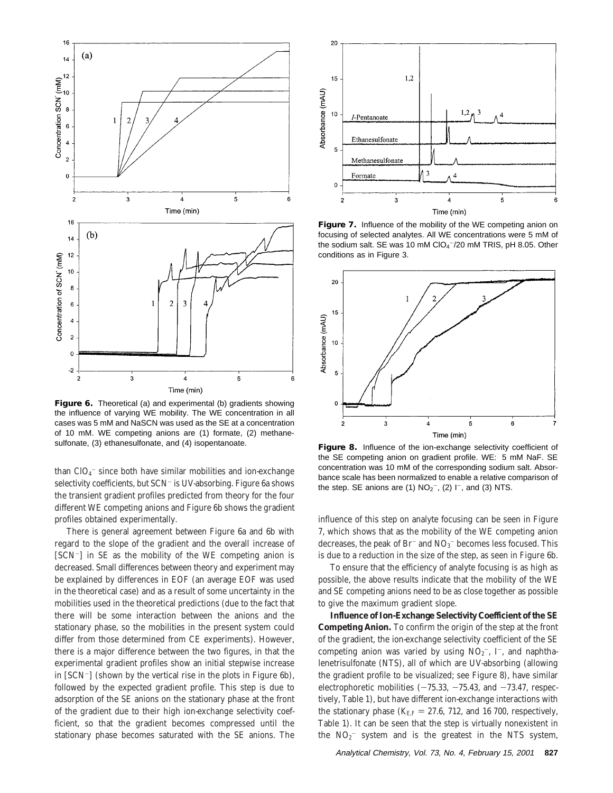

**Figure 6.** Theoretical (a) and experimental (b) gradients showing the influence of varying WE mobility. The WE concentration in all cases was 5 mM and NaSCN was used as the SE at a concentration of 10 mM. WE competing anions are (1) formate, (2) methanesulfonate, (3) ethanesulfonate, and (4) isopentanoate.

than  $ClO_4^-$  since both have similar mobilities and ion-exchange selectivity coefficients, but SCN<sup>-</sup> is UV-absorbing. Figure 6a shows the transient gradient profiles predicted from theory for the four different WE competing anions and Figure 6b shows the gradient profiles obtained experimentally.

There is general agreement between Figure 6a and 6b with regard to the slope of the gradient and the overall increase of [SCN-] in SE as the mobility of the WE competing anion is decreased. Small differences between theory and experiment may be explained by differences in EOF (an average EOF was used in the theoretical case) and as a result of some uncertainty in the mobilities used in the theoretical predictions (due to the fact that there will be some interaction between the anions and the stationary phase, so the mobilities in the present system could differ from those determined from CE experiments). However, there is a major difference between the two figures, in that the experimental gradient profiles show an initial stepwise increase in [SCN-] (shown by the vertical rise in the plots in Figure 6b), followed by the expected gradient profile. This step is due to adsorption of the SE anions on the stationary phase at the front of the gradient due to their high ion-exchange selectivity coefficient, so that the gradient becomes compressed until the stationary phase becomes saturated with the SE anions. The



**Figure 7.** Influence of the mobility of the WE competing anion on focusing of selected analytes. All WE concentrations were 5 mM of the sodium salt. SE was 10 mM ClO<sub>4</sub><sup>-</sup>/20 mM TRIS, pH 8.05. Other conditions as in Figure 3.



**Figure 8.** Influence of the ion-exchange selectivity coefficient of the SE competing anion on gradient profile. WE: 5 mM NaF. SE concentration was 10 mM of the corresponding sodium salt. Absorbance scale has been normalized to enable a relative comparison of the step. SE anions are (1)  $NO<sub>2</sub><sup>-</sup>$ , (2) I<sup>-</sup>, and (3) NTS.

influence of this step on analyte focusing can be seen in Figure 7, which shows that as the mobility of the WE competing anion decreases, the peak of  $Br^-$  and  $NO_3^-$  becomes less focused. This is due to a reduction in the size of the step, as seen in Figure 6b.

To ensure that the efficiency of analyte focusing is as high as possible, the above results indicate that the mobility of the WE and SE competing anions need to be as close together as possible to give the maximum gradient slope.

**Influence of Ion-Exchange Selectivity Coefficient of the SE Competing Anion.** To confirm the origin of the step at the front of the gradient, the ion-exchange selectivity coefficient of the SE competing anion was varied by using  $NO<sub>2</sub><sup>-</sup>$ , I<sup>-</sup>, and naphthalenetrisulfonate (NTS), all of which are UV-absorbing (allowing the gradient profile to be visualized; see Figure 8), have similar electrophoretic mobilities  $(-75.33, -75.43, \text{ and } -73.47, \text{ respectively}$ tively, Table 1), but have different ion-exchange interactions with the stationary phase  $(K_{\text{EF}} = 27.6, 712,$  and 16 700, respectively, Table 1). It can be seen that the step is virtually nonexistent in the  $NO<sub>2</sub>$  system and is the greatest in the NTS system,